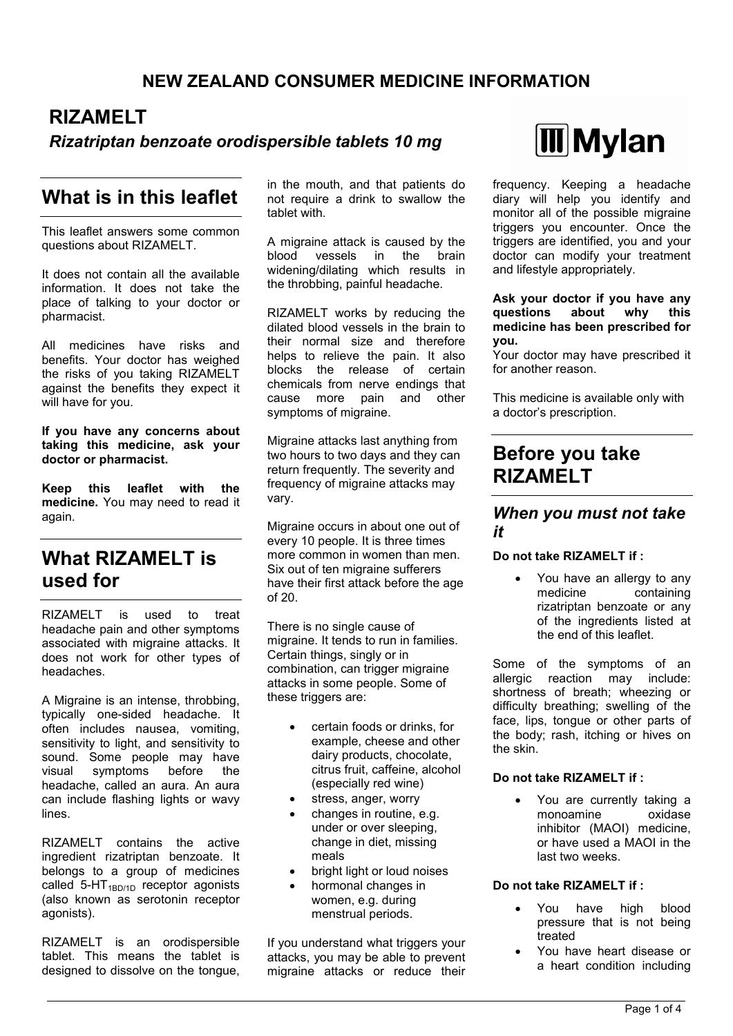## **NEW ZEALAND CONSUMER MEDICINE INFORMATION**

# **RIZAMELT**

### *Rizatriptan benzoate orodispersible tablets 10 mg*

# **What is in this leaflet**

This leaflet answers some common questions about RIZAMELT.

It does not contain all the available information. It does not take the place of talking to your doctor or pharmacist.

All medicines have risks and benefits. Your doctor has weighed the risks of you taking RIZAMELT against the benefits they expect it will have for you.

**If you have any concerns about taking this medicine, ask your doctor or pharmacist.**

**Keep this leaflet with the medicine.** You may need to read it again.

## **What RIZAMELT is used for**

RIZAMELT is used to treat headache pain and other symptoms associated with migraine attacks. It does not work for other types of headaches.

A Migraine is an intense, throbbing, typically one-sided headache. It often includes nausea, vomiting, sensitivity to light, and sensitivity to sound. Some people may have visual symptoms before the headache, called an aura. An aura can include flashing lights or wavy lines.

RIZAMELT contains the active ingredient rizatriptan benzoate. It belongs to a group of medicines called  $5-HT<sub>1BD/1D</sub>$  receptor agonists (also known as serotonin receptor agonists).

RIZAMELT is an orodispersible tablet. This means the tablet is designed to dissolve on the tongue, in the mouth, and that patients do not require a drink to swallow the tablet with.

A migraine attack is caused by the blood vessels in the brain widening/dilating which results in the throbbing, painful headache.

RIZAMELT works by reducing the dilated blood vessels in the brain to their normal size and therefore helps to relieve the pain. It also blocks the release of certain chemicals from nerve endings that cause more pain and other symptoms of migraine.

Migraine attacks last anything from two hours to two days and they can return frequently. The severity and frequency of migraine attacks may vary.

Migraine occurs in about one out of every 10 people. It is three times more common in women than men. Six out of ten migraine sufferers have their first attack before the age of 20.

There is no single cause of migraine. It tends to run in families. Certain things, singly or in combination, can trigger migraine attacks in some people. Some of these triggers are:

- certain foods or drinks, for example, cheese and other dairy products, chocolate, citrus fruit, caffeine, alcohol (especially red wine)
- stress, anger, worry
- changes in routine, e.g. under or over sleeping, change in diet, missing meals
- bright light or loud noises
- hormonal changes in women, e.g. during menstrual periods.

If you understand what triggers your attacks, you may be able to prevent migraine attacks or reduce their



frequency. Keeping a headache diary will help you identify and monitor all of the possible migraine triggers you encounter. Once the triggers are identified, you and your doctor can modify your treatment and lifestyle appropriately.

**Ask your doctor if you have any questions about why this medicine has been prescribed for you.**

Your doctor may have prescribed it for another reason.

This medicine is available only with a doctor's prescription.

# **Before you take RIZAMELT**

#### *When you must not take it*

#### **Do not take RIZAMELT if :**

 You have an allergy to any medicine containing rizatriptan benzoate or any of the ingredients listed at the end of this leaflet.

Some of the symptoms of an allergic reaction may include: shortness of breath; wheezing or difficulty breathing; swelling of the face, lips, tongue or other parts of the body; rash, itching or hives on the skin.

#### **Do not take RIZAMELT if :**

 You are currently taking a monoamine oxidase inhibitor (MAOI) medicine, or have used a MAOI in the last two weeks.

#### **Do not take RIZAMELT if :**

- You have high blood pressure that is not being treated
- You have heart disease or a heart condition including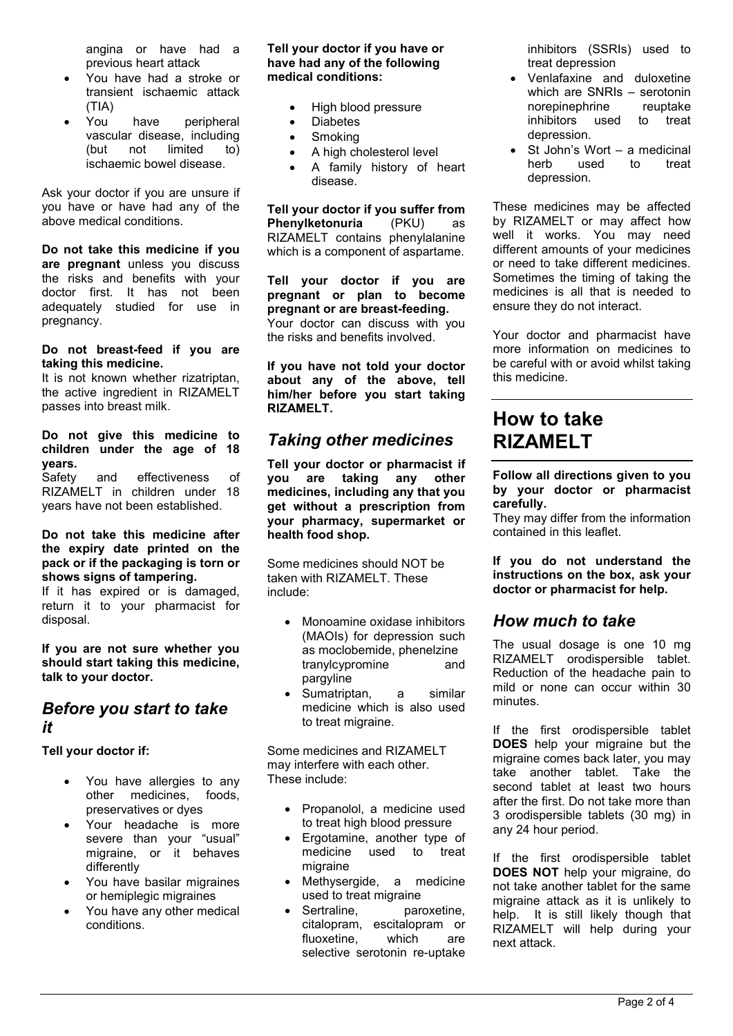angina or have had a previous heart attack

- You have had a stroke or transient ischaemic attack (TIA)
- You have peripheral vascular disease, including (but not limited to) ischaemic bowel disease.

Ask your doctor if you are unsure if you have or have had any of the above medical conditions.

**Do not take this medicine if you are pregnant** unless you discuss the risks and benefits with your doctor first. It has not been adequately studied for use in pregnancy.

#### **Do not breast-feed if you are taking this medicine.**

It is not known whether rizatriptan, the active ingredient in RIZAMELT passes into breast milk.

**Do not give this medicine to children under the age of 18 years.**

Safety and effectiveness of RIZAMELT in children under 18 years have not been established.

#### **Do not take this medicine after the expiry date printed on the pack or if the packaging is torn or shows signs of tampering.**

If it has expired or is damaged, return it to your pharmacist for disposal.

**If you are not sure whether you should start taking this medicine, talk to your doctor.**

### *Before you start to take it*

**Tell your doctor if:**

- You have allergies to any other medicines, foods, preservatives or dyes
- Your headache is more severe than your "usual" migraine, or it behaves differently
- You have basilar migraines or hemiplegic migraines
- You have any other medical conditions.

#### **Tell your doctor if you have or have had any of the following medical conditions:**

- High blood pressure
- Diabetes
- Smoking
- A high cholesterol level
- A family history of heart disease.

**Tell your doctor if you suffer from Phenylketonuria** (PKU) as RIZAMELT contains phenylalanine which is a component of aspartame.

**Tell your doctor if you are pregnant or plan to become pregnant or are breast-feeding.** Your doctor can discuss with you the risks and benefits involved.

**If you have not told your doctor about any of the above, tell him/her before you start taking RIZAMELT.**

## *Taking other medicines*

**Tell your doctor or pharmacist if you are taking any other medicines, including any that you get without a prescription from your pharmacy, supermarket or health food shop.**

Some medicines should NOT be taken with RIZAMELT. These include:

- Monoamine oxidase inhibitors (MAOIs) for depression such as moclobemide, phenelzine tranylcypromine and pargyline
- Sumatriptan, a similar medicine which is also used to treat migraine.

Some medicines and RIZAMELT may interfere with each other. These include:

- Propanolol, a medicine used to treat high blood pressure
- Ergotamine, another type of medicine used to treat migraine
- Methysergide, a medicine used to treat migraine
- Sertraline. paroxetine. citalopram, escitalopram or fluoxetine, which are selective serotonin re-uptake

inhibitors (SSRIs) used to treat depression

- Venlafaxine and duloxetine which are SNRIs – serotonin norepinephrine reuptake inhibitors used to treat depression.
- St John's Wort a medicinal herb used to treat depression.

These medicines may be affected by RIZAMELT or may affect how well it works. You may need different amounts of your medicines or need to take different medicines. Sometimes the timing of taking the medicines is all that is needed to ensure they do not interact.

Your doctor and pharmacist have more information on medicines to be careful with or avoid whilst taking this medicine.

# **How to take RIZAMELT**

**Follow all directions given to you by your doctor or pharmacist carefully.**

They may differ from the information contained in this leaflet.

**If you do not understand the instructions on the box, ask your doctor or pharmacist for help.**

## *How much to take*

The usual dosage is one 10 mg RIZAMELT orodispersible tablet. Reduction of the headache pain to mild or none can occur within 30 minutes.

If the first orodispersible tablet **DOES** help your migraine but the migraine comes back later, you may take another tablet. Take the second tablet at least two hours after the first. Do not take more than 3 orodispersible tablets (30 mg) in any 24 hour period.

If the first orodispersible tablet **DOES NOT** help your migraine, do not take another tablet for the same migraine attack as it is unlikely to help. It is still likely though that RIZAMELT will help during your next attack.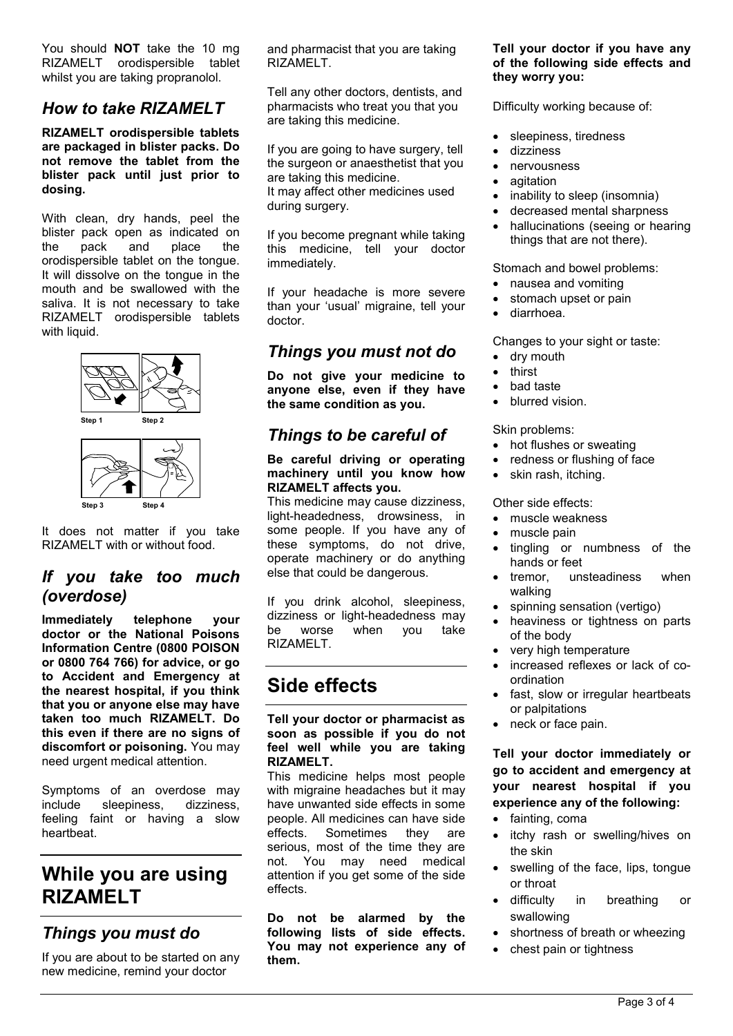You should **NOT** take the 10 mg RIZAMELT orodispersible tablet whilst you are taking propranolol.

### *How to take RIZAMELT*

**RIZAMELT orodispersible tablets are packaged in blister packs. Do not remove the tablet from the blister pack until just prior to dosing.**

With clean, dry hands, peel the blister pack open as indicated on the pack and place the orodispersible tablet on the tongue. It will dissolve on the tongue in the mouth and be swallowed with the saliva. It is not necessary to take RIZAMELT orodispersible tablets with liquid.



It does not matter if you take RIZAMELT with or without food.

### *If you take too much (overdose)*

**Immediately telephone your doctor or the National Poisons Information Centre (0800 POISON or 0800 764 766) for advice, or go to Accident and Emergency at the nearest hospital, if you think that you or anyone else may have taken too much RIZAMELT. Do this even if there are no signs of discomfort or poisoning.** You may need urgent medical attention.

Symptoms of an overdose may include sleepiness, dizziness, feeling faint or having a slow heartbeat.

# **While you are using RIZAMELT**

## *Things you must do*

If you are about to be started on any new medicine, remind your doctor

and pharmacist that you are taking RIZAMELT.

Tell any other doctors, dentists, and pharmacists who treat you that you are taking this medicine.

If you are going to have surgery, tell the surgeon or anaesthetist that you are taking this medicine. It may affect other medicines used during surgery.

If you become pregnant while taking this medicine, tell your doctor immediately.

If your headache is more severe than your 'usual' migraine, tell your doctor.

### *Things you must not do*

**Do not give your medicine to anyone else, even if they have the same condition as you.**

## *Things to be careful of*

**Be careful driving or operating machinery until you know how RIZAMELT affects you.**

This medicine may cause dizziness, light-headedness, drowsiness, in some people. If you have any of these symptoms, do not drive, operate machinery or do anything else that could be dangerous.

If you drink alcohol, sleepiness, dizziness or light-headedness may be worse when you take RIZAMELT.

# **Side effects**

**Tell your doctor or pharmacist as soon as possible if you do not feel well while you are taking RIZAMELT.**

This medicine helps most people with migraine headaches but it may have unwanted side effects in some people. All medicines can have side effects. Sometimes they are serious, most of the time they are not. You may need medical attention if you get some of the side effects.

**Do not be alarmed by the following lists of side effects. You may not experience any of them.**

#### **Tell your doctor if you have any of the following side effects and they worry you:**

Difficulty working because of:

- sleepiness, tiredness
- dizziness
- nervousness
- agitation
- inability to sleep (insomnia)
- decreased mental sharpness
- hallucinations (seeing or hearing things that are not there).

#### Stomach and bowel problems:

- nausea and vomiting
- stomach upset or pain
- diarrhoea.

Changes to your sight or taste:

- dry mouth
- thirst
- bad taste
- blurred vision.

Skin problems:

- hot flushes or sweating
- redness or flushing of face
- skin rash, itching.

Other side effects:

- muscle weakness
- muscle pain
- tingling or numbness of the hands or feet
- tremor, unsteadiness when walking
- spinning sensation (vertigo)
- heaviness or tightness on parts of the body
- very high temperature
- increased reflexes or lack of coordination
- fast, slow or irregular heartbeats or palpitations
- neck or face pain.

**Tell your doctor immediately or go to accident and emergency at your nearest hospital if you experience any of the following:**

- fainting, coma
- itchy rash or swelling/hives on the skin
- swelling of the face, lips, tongue or throat
- difficulty in breathing or swallowing
- shortness of breath or wheezing
- chest pain or tightness